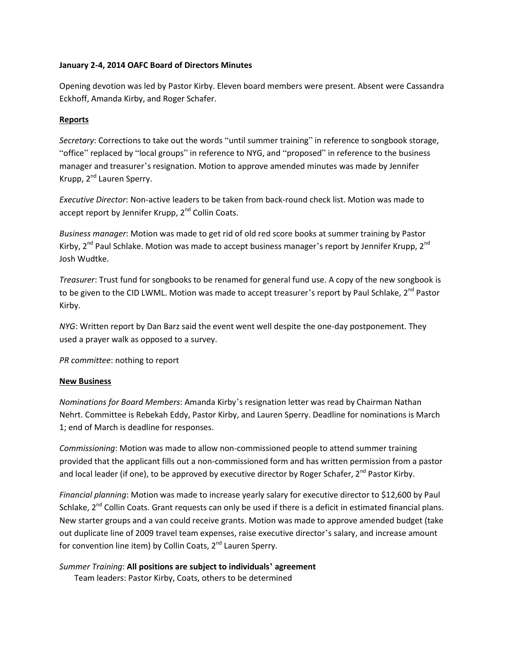## **January 2-4, 2014 OAFC Board of Directors Minutes**

Opening devotion was led by Pastor Kirby. Eleven board members were present. Absent were Cassandra Eckhoff, Amanda Kirby, and Roger Schafer.

## **Reports**

*Secretary*: Corrections to take out the words "until summer training" in reference to songbook storage, "office" replaced by "local groups" in reference to NYG, and "proposed" in reference to the business manager and treasurer's resignation. Motion to approve amended minutes was made by Jennifer Krupp, 2<sup>nd</sup> Lauren Sperry.

*Executive Director*: Non-active leaders to be taken from back-round check list. Motion was made to accept report by Jennifer Krupp, 2<sup>nd</sup> Collin Coats.

*Business manager*: Motion was made to get rid of old red score books at summer training by Pastor Kirby,  $2^{nd}$  Paul Schlake. Motion was made to accept business manager's report by Jennifer Krupp,  $2^{nd}$ Josh Wudtke.

*Treasurer*: Trust fund for songbooks to be renamed for general fund use. A copy of the new songbook is to be given to the CID LWML. Motion was made to accept treasurer's report by Paul Schlake, 2<sup>nd</sup> Pastor Kirby.

*NYG*: Written report by Dan Barz said the event went well despite the one-day postponement. They used a prayer walk as opposed to a survey.

*PR committee*: nothing to report

## **New Business**

*Nominations for Board Members*: Amanda Kirby's resignation letter was read by Chairman Nathan Nehrt. Committee is Rebekah Eddy, Pastor Kirby, and Lauren Sperry. Deadline for nominations is March 1; end of March is deadline for responses.

*Commissioning*: Motion was made to allow non-commissioned people to attend summer training provided that the applicant fills out a non-commissioned form and has written permission from a pastor and local leader (if one), to be approved by executive director by Roger Schafer, 2<sup>nd</sup> Pastor Kirby.

*Financial planning*: Motion was made to increase yearly salary for executive director to \$12,600 by Paul Schlake, 2<sup>nd</sup> Collin Coats. Grant requests can only be used if there is a deficit in estimated financial plans. New starter groups and a van could receive grants. Motion was made to approve amended budget (take out duplicate line of 2009 travel team expenses, raise executive director's salary, and increase amount for convention line item) by Collin Coats,  $2^{nd}$  Lauren Sperry.

*Summer Training*: **All positions are subject to individuals' agreement** Team leaders: Pastor Kirby, Coats, others to be determined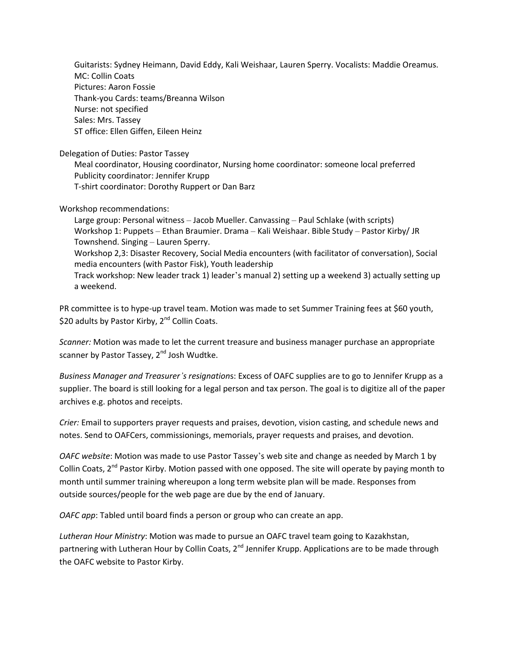Guitarists: Sydney Heimann, David Eddy, Kali Weishaar, Lauren Sperry. Vocalists: Maddie Oreamus. MC: Collin Coats Pictures: Aaron Fossie Thank-you Cards: teams/Breanna Wilson Nurse: not specified Sales: Mrs. Tassey ST office: Ellen Giffen, Eileen Heinz

Delegation of Duties: Pastor Tassey

Meal coordinator, Housing coordinator, Nursing home coordinator: someone local preferred Publicity coordinator: Jennifer Krupp T-shirt coordinator: Dorothy Ruppert or Dan Barz

Workshop recommendations:

Large group: Personal witness – Jacob Mueller. Canvassing – Paul Schlake (with scripts) Workshop 1: Puppets – Ethan Braumier. Drama – Kali Weishaar. Bible Study – Pastor Kirby/ JR Townshend. Singing – Lauren Sperry. Workshop 2,3: Disaster Recovery, Social Media encounters (with facilitator of conversation), Social media encounters (with Pastor Fisk), Youth leadership Track workshop: New leader track 1) leader's manual 2) setting up a weekend 3) actually setting up a weekend.

PR committee is to hype-up travel team. Motion was made to set Summer Training fees at \$60 youth, \$20 adults by Pastor Kirby, 2<sup>nd</sup> Collin Coats.

*Scanner:* Motion was made to let the current treasure and business manager purchase an appropriate scanner by Pastor Tassey, 2<sup>nd</sup> Josh Wudtke.

*Business Manager and Treasurer's resignation*s: Excess of OAFC supplies are to go to Jennifer Krupp as a supplier. The board is still looking for a legal person and tax person. The goal is to digitize all of the paper archives e.g. photos and receipts.

*Crier:* Email to supporters prayer requests and praises, devotion, vision casting, and schedule news and notes. Send to OAFCers, commissionings, memorials, prayer requests and praises, and devotion.

*OAFC website*: Motion was made to use Pastor Tassey's web site and change as needed by March 1 by Collin Coats, 2<sup>nd</sup> Pastor Kirby. Motion passed with one opposed. The site will operate by paying month to month until summer training whereupon a long term website plan will be made. Responses from outside sources/people for the web page are due by the end of January.

*OAFC app*: Tabled until board finds a person or group who can create an app.

*Lutheran Hour Ministry*: Motion was made to pursue an OAFC travel team going to Kazakhstan, partnering with Lutheran Hour by Collin Coats, 2<sup>nd</sup> Jennifer Krupp. Applications are to be made through the OAFC website to Pastor Kirby.